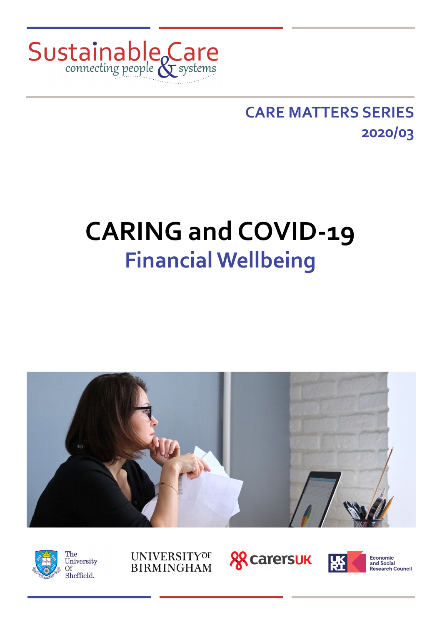

## **CARE MATTERS SERIES 2020/03**

# **CARING and COVID-19 Financial Wellbeing**











**Economic**<br>and Social Research Council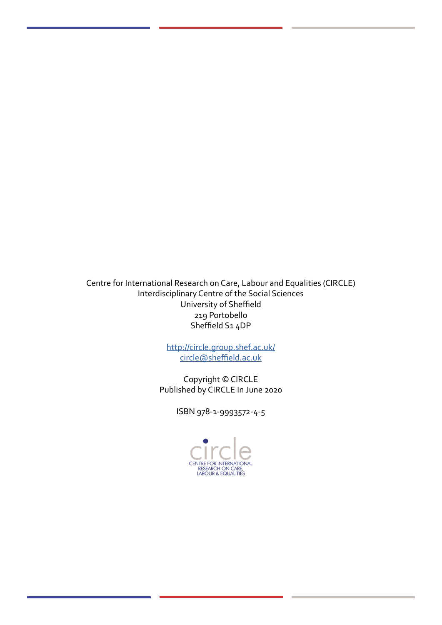Centre for International Research on Care, Labour and Equalities (CIRCLE) Interdisciplinary Centre of the Social Sciences University of Sheffield 219 Portobello Sheffield S1 4DP

> <http://circle.group.shef.ac.uk/> [circle@sheffield.ac.uk](mailto:circle@sheffield.ac.uk)

Copyright © CIRCLE Published by CIRCLE In June 2020

ISBN 978-1-9993572-4-5

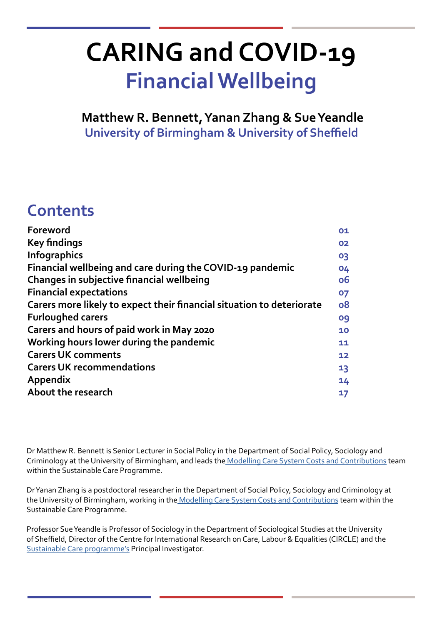# **CARING and COVID-19 Financial Wellbeing**

**Matthew R. Bennett, Yanan Zhang & Sue Yeandle University of Birmingham & University of Sheffield**

## **Contents**

| Foreword                                                              | 01 |
|-----------------------------------------------------------------------|----|
| <b>Key findings</b>                                                   | 02 |
| <b>Infographics</b>                                                   | 03 |
| Financial wellbeing and care during the COVID-19 pandemic             | 04 |
| Changes in subjective financial wellbeing                             | ο6 |
| <b>Financial expectations</b>                                         | 07 |
| Carers more likely to expect their financial situation to deteriorate | 08 |
| <b>Furloughed carers</b>                                              | 09 |
| Carers and hours of paid work in May 2020                             | 10 |
| Working hours lower during the pandemic                               | 11 |
| <b>Carers UK comments</b>                                             | 12 |
| <b>Carers UK recommendations</b>                                      | 13 |
| Appendix                                                              | 14 |
| About the research                                                    | 17 |
|                                                                       |    |

Dr Matthew R. Bennett is Senior Lecturer in Social Policy in the Department of Social Policy, Sociology and Criminology at the University of Birmingham, and leads the [Modelling Care System Costs and Contributions](http://circle.group.shef.ac.uk/portfolio/modelling-care-system-costs-and-contributions/) team within the Sustainable Care Programme.

Dr Yanan Zhang is a postdoctoral researcher in the Department of Social Policy, Sociology and Criminology at the University of Birmingham, working in th[e Modelling Care System Costs and Contributions](http://circle.group.shef.ac.uk/portfolio/modelling-care-system-costs-and-contributions/) team within the Sustainable Care Programme.

Professor Sue Yeandle is Professor of Sociology in the Department of Sociological Studies at the University of Sheffield, Director of the Centre for International Research on Care, Labour & Equalities (CIRCLE) and the [Sustainable Care programme'](http://circle.group.shef.ac.uk/sustainable-care/)s Principal Investigator.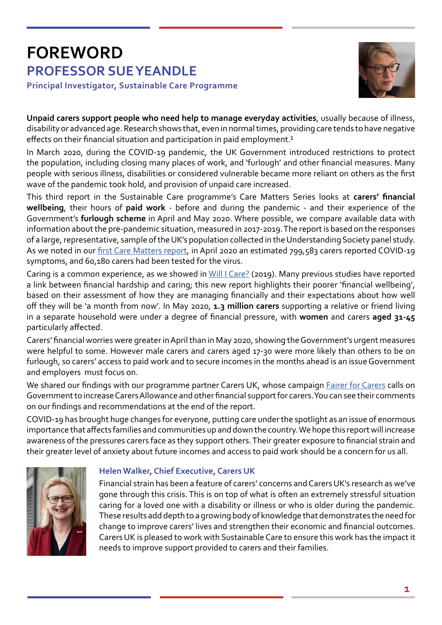## **FOREWORD PROFESSOR SUE YEANDLE Principal Investigator, Sustainable Care Programme**



**Unpaid carers support people who need help to manage everyday activities**, usually because of illness, disability or advanced age. Research shows that, even in normal times, providing care tends to have negative effects on their financial situation and participation in paid employment.<sup>1</sup>

In March 2020, during the COVID-19 pandemic, the UK Government introduced restrictions to protect the population, including closing many places of work, and 'furlough' and other financial measures. Many people with serious illness, disabilities or considered vulnerable became more reliant on others as the first wave of the pandemic took hold, and provision of unpaid care increased.

This third report in the Sustainable Care programme's Care Matters Series looks at **carers' financial wellbeing**, their hours of **paid work** - before and during the pandemic - and their experience of the Government's **furlough scheme** in April and May 2020. Where possible, we compare available data with information about the pre-pandemic situation, measured in 2017-2019. The report is based on the responses of a large, representative, sample of the UK's population collected in the Understanding Society panel study. As we noted in our [first Care Matters report,](http://circle.group.shef.ac.uk/wp-content/uploads/2020/06/Caring-and-COVID-19_Hunger-and-mental-wellbeing-2.pdf) in April 2020 an estimated 799,583 carers reported COVID-19 symptoms, and 60,180 carers had been tested for the virus.

Caring is a common experience, as we showed in [Will I Care?](https://www.carersuk.org/images/News__campaigns/CarersRightsDay_Nov19_FINAL.pdf) (2019). Many previous studies have reported a link between financial hardship and caring; this new report highlights their poorer 'financial wellbeing', based on their assessment of how they are managing financially and their expectations about how well off they will be 'a month from now'. In May 2020, **1.3 million carers** supporting a relative or friend living in a separate household were under a degree of financial pressure, with **women** and carers **aged 31-45** particularly affected.

Carers' financial worries were greater in April than in May 2020, showing the Government's urgent measures were helpful to some. However male carers and carers aged 17-30 were more likely than others to be on furlough, so carers' access to paid work and to secure incomes in the months ahead is an issue Government and employers must focus on.

We shared our findings with our programme partner Carers UK, whose campaign [Fairer for Carers](https://www.carersuk.org/news-and-campaigns/campaigns/fairer-for-carers) calls on Government to increase Carers Allowance and other financial support for carers. You can see their comments on our findings and recommendations at the end of the report.

COVID-19 has brought huge changes for everyone, putting care under the spotlight as an issue of enormous importance that affects families and communities up and down the country. We hope this report will increase awareness of the pressures carers face as they support others. Their greater exposure to financial strain and their greater level of anxiety about future incomes and access to paid work should be a concern for us all.



## **Helen Walker, Chief Executive, Carers UK**

Financial strain has been a feature of carers' concerns and Carers UK's research as we've gone through this crisis. This is on top of what is often an extremely stressful situation caring for a loved one with a disability or illness or who is older during the pandemic. These results add depth to a growing body of knowledge that demonstrates the need for change to improve carers' lives and strengthen their economic and financial outcomes. Carers UK is pleased to work with Sustainable Care to ensure this work has the impact it needs to improve support provided to carers and their families.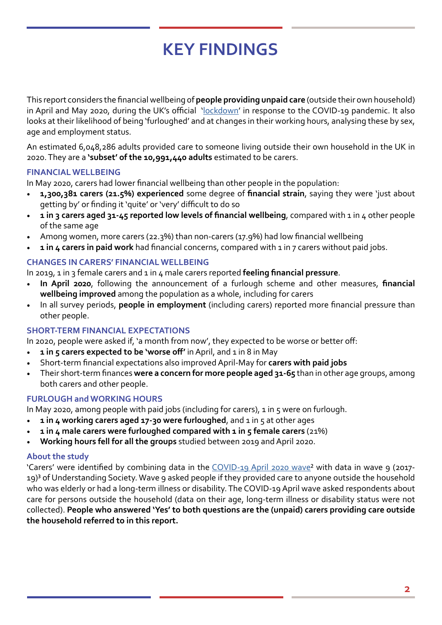## **KEY FINDINGS**

This report considers the financial wellbeing of **people providing unpaid care** (outside their own household) in April and May 2020, during the UK's official '[lockdown](https://commonslibrary.parliament.uk/research-briefings/cbp-8875/)' in response to the COVID-19 pandemic. It also looks at their likelihood of being 'furloughed' and at changes in their working hours, analysing these by sex, age and employment status.

An estimated 6,048,286 adults provided care to someone living outside their own household in the UK in 2020. They are a **'subset' of the 10,991,440 adults** estimated to be carers.

### **FINANCIAL WELLBEING**

In May 2020, carers had lower financial wellbeing than other people in the population:

- **1,300,381 carers (21.5%) experienced** some degree of **financial strain**, saying they were 'just about getting by' or finding it 'quite' or 'very' difficult to do so
- **1 in 3 carers aged 31-45 reported low levels of financial wellbeing**, compared with 1 in 4 other people of the same age
- Among women, more carers (22.3%) than non-carers (17.9%) had low financial wellbeing
- **1 in 4 carers in paid work** had financial concerns, compared with 1 in 7 carers without paid jobs.

### **CHANGES IN CARERS' FINANCIAL WELLBEING**

In 2019, 1 in 3 female carers and 1 in 4 male carers reported **feeling financial pressure**.

- **In April 2020**, following the announcement of a furlough scheme and other measures, **financial wellbeing improved** among the population as a whole, including for carers
- In all survey periods, **people in employment** (including carers) reported more financial pressure than other people.

### **SHORT-TERM FINANCIAL EXPECTATIONS**

In 202o, people were asked if, 'a month from now', they expected to be worse or better off:

- **1** in 5 carers expected to be 'worse off' in April, and 1 in 8 in May
- Short-term financial expectations also improved April-May for **carers with paid jobs**
- Their short-term finances **were a concern for more people aged 31-65** than in other age groups, among both carers and other people.

### **FURLOUGH and WORKING HOURS**

In May 2020, among people with paid jobs (including for carers),  $1$  in  $5$  were on furlough.

- **1 in 4 working carers aged 17-30 were furloughed**, and 1 in 5 at other ages
- **1 in 4 male carers were furloughed compared with 1 in 5 female carers** (21%)
- **Working hours fell for all the groups** studied between 2019 and April 2020.

### **About the study**

'Carers' were identified by combining data in the [COVID-19 April 2020 wave²](https://www.understandingsociety.ac.uk/research/themes/covid-19) with data in wave 9 (2017- 19)<sup>3</sup> of Understanding Society. Wave 9 asked people if they provided care to anyone outside the household who was elderly or had a long-term illness or disability. The COVID-19 April wave asked respondents about care for persons outside the household (data on their age, long-term illness or disability status were not collected). **People who answered 'Yes' to both questions are the (unpaid) carers providing care outside the household referred to in this report.**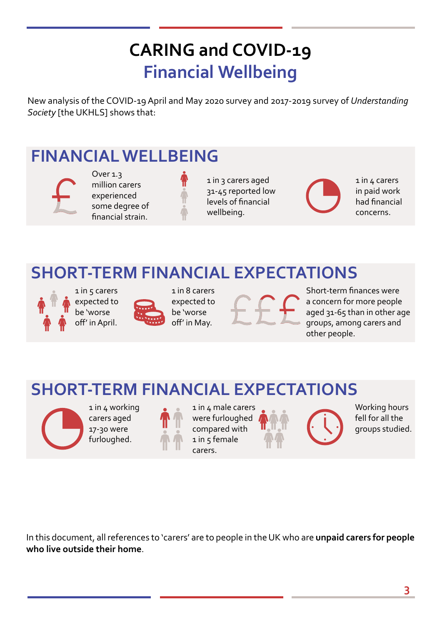## **CARING and COVID-19 Financial Wellbeing**

New analysis of the COVID-19 April and May 2020 survey and 2017-2019 survey of *Understanding Society* [the UKHLS] shows that:

## **FINANCIAL WELLBEING**



Over 1.3 million carers experienced some degree of financial strain.

1 in 3 carers aged 31-45 reported low levels of financial wellbeing.

1 in 4 carers in paid work had financial concerns.

## **SHORT-TERM FINANCIAL EXPECTATIONS**



expected to be 'worse off' in April.



1 in 8 carers expected to be 'worse off' in May.

Short-term finances were a concern for more people aged 31-65 than in other age groups, among carers and other people.

## **SHORT-TERM FINANCIAL EXPECTATIONS**



1 in 4 working carers aged 17-30 were furloughed.



1 in 4 male carers were furloughed compared with  $1$  in  $5$  female carers.

Working hours fell for all the groups studied.

In this document, all references to 'carers' are to people in the UK who are **unpaid carers for people who live outside their home**.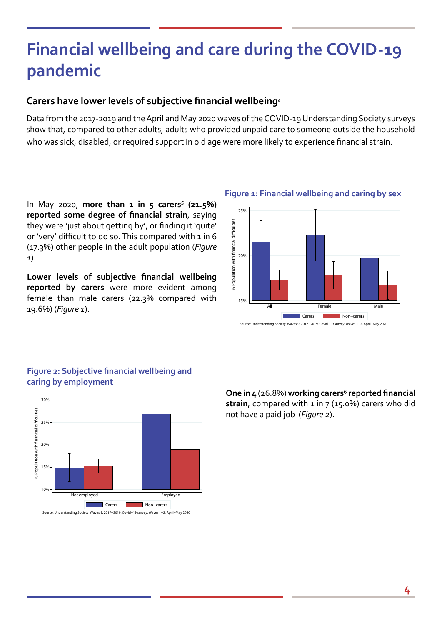## **Financial wellbeing and care during the COVID-19 pandemic**

## **Carers have lower levels of subjective financial wellbeing**⁴

Data from the 2017-2019 and the April and May 2020 waves of the COVID-19 Understanding Society surveys show that, compared to other adults, adults who provided unpaid care to someone outside the household who was sick, disabled, or required support in old age were more likely to experience financial strain.

In May 2020, more than 1 in 5 carers<sup>5</sup> (21.5%) **reported some degree of financial strain**, saying they were 'just about getting by', or finding it 'quite' or 'very' difficult to do so. This compared with 1 in 6 (17.3%) other people in the adult population (*Figure 1*).

**Lower levels of subjective financial wellbeing reported by carers** were more evident among female than male carers (22.3% compared with 19.6%) (*Figure 1*).







**Figure 2: Subjective financial wellbeing and caring by employment**

**One in 4** (26.8%) **working carers**⁶ **reported financial strain**, compared with 1 in 7 (15.0%) carers who did not have a paid job (*Figure 2*).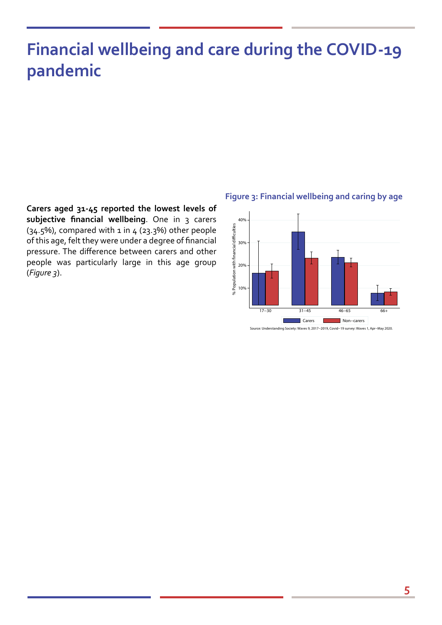## **Financial wellbeing and care during the COVID-19 pandemic**

**Carers aged 31-45 reported the lowest levels of subjective financial wellbeing**. One in 3 carers  $(34.5%)$ , compared with 1 in  $4$  (23.3%) other people of this age, felt they were under a degree of financial pressure. The difference between carers and other people was particularly large in this age group (*Figure 3*).

#### **Figure 3: Financial wellbeing and caring by age**



Source: Understanding Society: Waves 9, 2017−2019, Covid−19 survey: Waves 1, Apr−May 2020.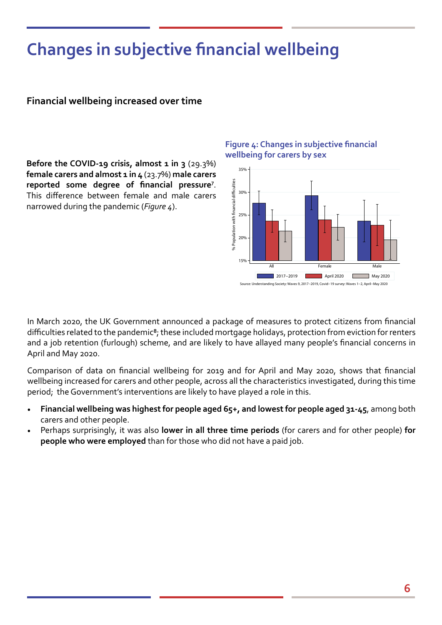## **Changes in subjective financial wellbeing**

### **Financial wellbeing increased over time**

**Before the COVID-19 crisis, almost 1 in 3** (29.3%) **female carers and almost 1 in 4** (23.7%) **male carers**  reported some degree of financial pressure<sup>7</sup>. This difference between female and male carers narrowed during the pandemic (*Figure 4*).

### **Figure 4: Changes in subjective financial wellbeing for carers by sex**



In March 2020, the UK Government announced a package of measures to protect citizens from financial difficulties related to the pandemic<sup>8</sup>; these included mortgage holidays, protection from eviction for renters and a job retention (furlough) scheme, and are likely to have allayed many people's financial concerns in April and May 2020.

Comparison of data on financial wellbeing for 2019 and for April and May 2020, shows that financial wellbeing increased for carers and other people, across all the characteristics investigated, during this time period; the Government's interventions are likely to have played a role in this.

- **Financial wellbeing was highest for people aged 65+, and lowest for people aged 31-45**, among both carers and other people.
- Perhaps surprisingly, it was also **lower in all three time periods** (for carers and for other people) **for people who were employed** than for those who did not have a paid job.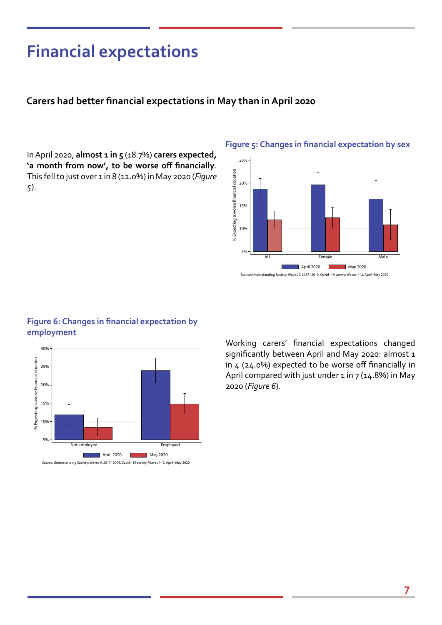## **Financial expectations**

### **Carers had better financial expectations in May than in April 2020**

In April 2020, **almost 1 in 5** (18.7%) **carers expected, 'a month from now', to be worse off financially**. This fell to just over 1 in 8 (12.0%) in May 2020 (*Figure 5*).



All **All Female** Male April 2020 May 2020

Source: Understanding Society: Waves 9, 2017−2019, Covid−19 survey: Waves 1−2, April−May 2020

5%

10%

#### **Figure 5: Changes in financial expectation by sex**

### **Figure 6: Changes in financial expectation by employment**



Working carers' financial expectations changed significantly between April and May 2020: almost 1 in 4 (24.0%) expected to be worse off financially in April compared with just under  $1$  in  $7$  (14.8%) in May 2020 (*Figure 6*).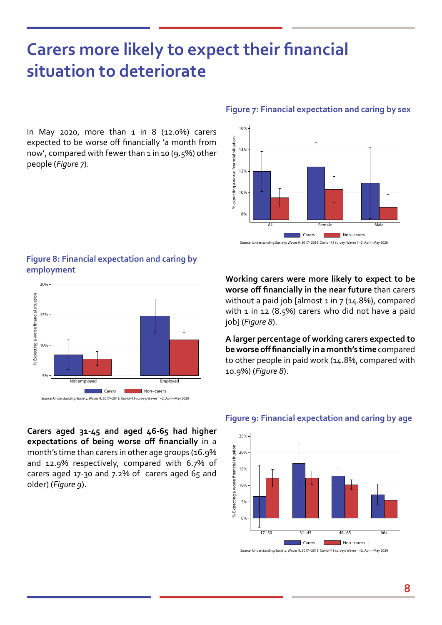## **Carers more likely to expect their financial situation to deteriorate**

In May 2020, more than  $1$  in  $8$  (12.0%) carers expected to be worse off financially 'a month from now', compared with fewer than 1 in 10 (9.5%) other people (*Figure 7*).

### **Figure 7: Financial expectation and caring by sex**



#### Source: Understanding Society: Waves 9, 2017−2019, Covid−19 survey: Waves 1−2, April−May 2020

### **Figure 8: Financial expectation and caring by employment**



**Working carers were more likely to expect to be worse off financially in the near future** than carers without a paid job [almost  $1$  in  $7$  (14.8%), compared with 1 in 12 (8.5%) carers who did not have a paid job] (*Figure 8*).

**A larger percentage of working carers expected to be worse off financially in a month's time** compared to other people in paid work (14.8%, compared with 10.9%) (*Figure 8*).

**Carers aged 31-45 and aged 46-65 had higher expectations of being worse off financially** in a month's time than carers in other age groups (16.9% and 12.9% respectively, compared with 6.7% of carers aged 17-30 and 7.2% of carers aged 65 and older) (*Figure 9*).

#### **Figure 9: Financial expectation and caring by age**



Source: Understanding Society: Waves 9, 2017−2019, Covid−19 survey: Waves 1−2, April−May 2020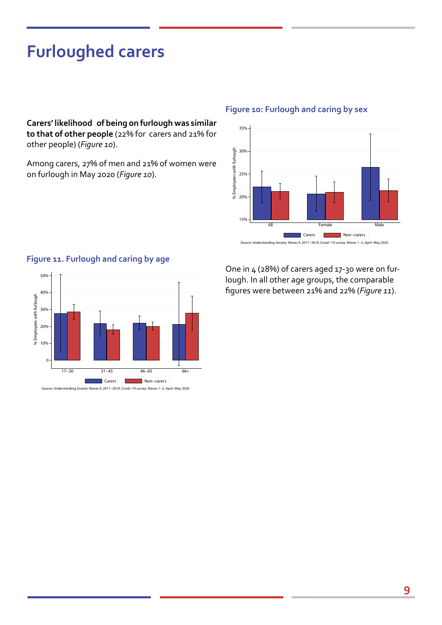## **Furloughed carers**

**Carers' likelihood of being on furlough was similar to that of other people** (22% for carers and 21% for other people) (*Figure 10*).

Among carers, 27% of men and 21% of women were on furlough in May 2020 (*Figure 10*).

#### **Figure 10: Furlough and caring by sex**



Source: Understanding Society: Waves 9, 2017−2019, Covid−19 survey: Waves 1−2, April−May 2020

### 50% 40% % Employees with furlough % Employees with furlough 30% 20% 10% 0 17−30 31−45 46−65 66+ ■ Carers ■ Non-carers Source: Understanding Society: Waves 9, 2017−2019, Covid−19 survey: Waves 1−2, April−May 2020

**Figure 11. Furlough and caring by age**

One in 4 (28%) of carers aged 17-30 were on furlough. In all other age groups, the comparable figures were between 21% and 22% (*Figure 11*).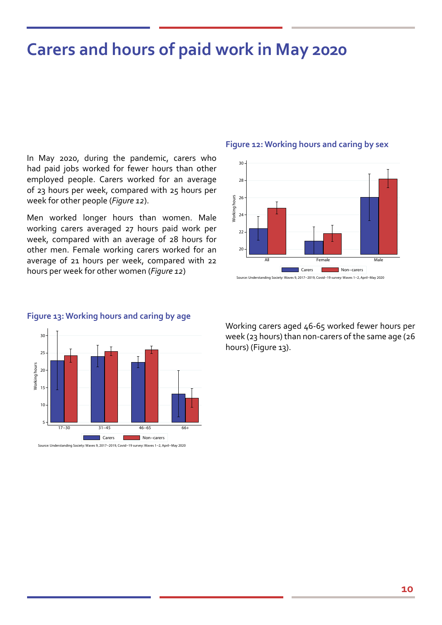## **Carers and hours of paid work in May 2020**

In May 2020, during the pandemic, carers who had paid jobs worked for fewer hours than other employed people. Carers worked for an average of 23 hours per week, compared with 25 hours per week for other people (*Figure 12*).

Men worked longer hours than women. Male working carers averaged 27 hours paid work per week, compared with an average of 28 hours for other men. Female working carers worked for an average of 21 hours per week, compared with 22 hours per week for other women (*Figure 12*)

#### **Figure 12: Working hours and caring by sex**





#### **Figure 13: Working hours and caring by age**

Working carers aged 46-65 worked fewer hours per week (23 hours) than non-carers of the same age (26 hours) (Figure 13).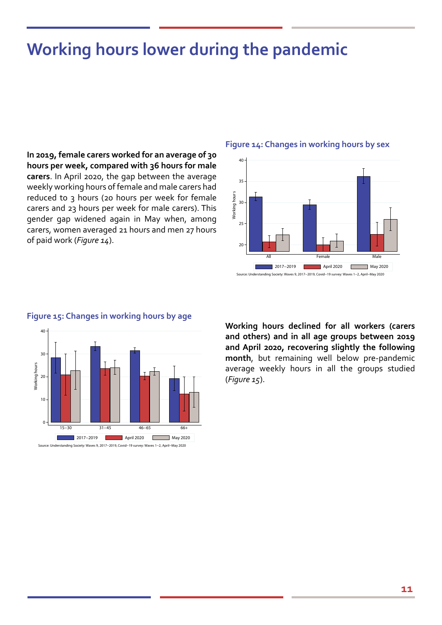## **Working hours lower during the pandemic**

**In 2019, female carers worked for an average of 30 hours per week, compared with 36 hours for male carers**. In April 2020, the gap between the average weekly working hours of female and male carers had reduced to 3 hours (20 hours per week for female carers and 23 hours per week for male carers). This gender gap widened again in May when, among carers, women averaged 21 hours and men 27 hours of paid work (*Figure 14*).

#### **Figure 14: Changes in working hours by sex**





#### **Figure 15: Changes in working hours by age**

**Working hours declined for all workers (carers and others) and in all age groups between 2019 and April 2020, recovering slightly the following month**, but remaining well below pre-pandemic average weekly hours in all the groups studied (*Figure 15*).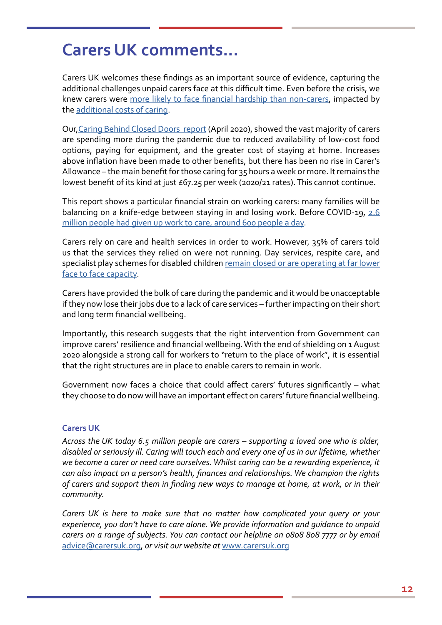## **Carers UK comments...**

Carers UK welcomes these findings as an important source of evidence, capturing the additional challenges unpaid carers face at this difficult time. Even before the crisis, we knew carers were [more likely to face financial hardship than non-carers,](https://www.npi.org.uk/files/2114/6411/1359/Carers_and_poverty_in_the_UK_-_full_report.pdf) impacted by the [additional costs of caring](http://www.carersuk.org/images/News__campaigns/CUK_State_of_Caring_2019_Report.pdf).

Our[,Caring Behind Closed Doors report](https://www.carersuk.org/images/News_and_campaigns/Behind_Closed_Doors_2020/Caring_behind_closed_doors_April20_pages_web_final.pdf) (April 2020), showed the vast majority of carers are spending more during the pandemic due to reduced availability of low-cost food options, paying for equipment, and the greater cost of staying at home. Increases above inflation have been made to other benefits, but there has been no rise in Carer's Allowance – the main benefit for those caring for 35 hours a week or more. It remains the lowest benefit of its kind at just £67.25 per week (2020/21 rates). This cannot continue.

This report shows a particular financial strain on working carers: many families will be balancing on a knife-edge between staying in and losing work. Before COVID-19, [2.6](http://www.carersuk.org/images/News_and_campaigns/Juggling_work_and_unpaid_care_report_final_0119_WEB.pdf)  [million people had given up work to care, around 600 people a day](http://www.carersuk.org/images/News_and_campaigns/Juggling_work_and_unpaid_care_report_final_0119_WEB.pdf).

Carers rely on care and health services in order to work. However, 35% of carers told us that the services they relied on were not running. Day services, respite care, and specialist play schemes for disabled children [remain closed or are operating at far lower](https://www.carersuk.org/images/News_and_campaigns/Behind_Closed_Doors_2020/Caring_behind_closed_doors_April20_pages_web_final.pdf)  [face to face capacity](https://www.carersuk.org/images/News_and_campaigns/Behind_Closed_Doors_2020/Caring_behind_closed_doors_April20_pages_web_final.pdf).

Carers have provided the bulk of care during the pandemic and it would be unacceptable if they now lose their jobs due to a lack of care services – further impacting on their short and long term financial wellbeing.

Importantly, this research suggests that the right intervention from Government can improve carers' resilience and financial wellbeing. With the end of shielding on 1 August 2020 alongside a strong call for workers to "return to the place of work", it is essential that the right structures are in place to enable carers to remain in work.

Government now faces a choice that could affect carers' futures significantly – what they choose to do now will have an important effect on carers' future financial wellbeing.

### **Carers UK**

*Across the UK today 6.5 million people are carers – supporting a loved one who is older, disabled or seriously ill. Caring will touch each and every one of us in our lifetime, whether we become a carer or need care ourselves. Whilst caring can be a rewarding experience, it can also impact on a person's health, finances and relationships. We champion the rights of carers and support them in finding new ways to manage at home, at work, or in their community.*

*Carers UK is here to make sure that no matter how complicated your query or your experience, you don't have to care alone. We provide information and guidance to unpaid carers on a range of subjects. You can contact our helpline on 0808 808 7777 or by email*  [advice@carersuk.org,](mailto:advice@carersuk.org) *or visit our website at* [www.carersuk.org](http://www.carersuk.org)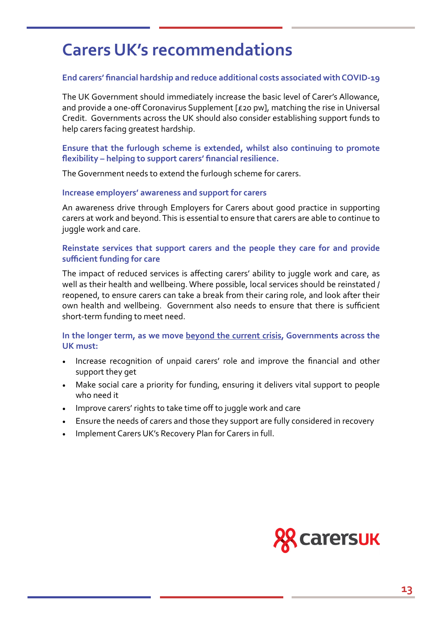## **Carers UK's recommendations**

### **End carers' financial hardship and reduce additional costs associated with COVID-19**

The UK Government should immediately increase the basic level of Carer's Allowance, and provide a one-off Coronavirus Supplement [£20 pw], matching the rise in Universal Credit. Governments across the UK should also consider establishing support funds to help carers facing greatest hardship.

### **Ensure that the furlough scheme is extended, whilst also continuing to promote flexibility – helping to support carers' financial resilience.**

The Government needs to extend the furlough scheme for carers.

#### **Increase employers' awareness and support for carers**

An awareness drive through Employers for Carers about good practice in supporting carers at work and beyond. This is essential to ensure that carers are able to continue to juggle work and care.

### **Reinstate services that support carers and the people they care for and provide sufficient funding for care**

The impact of reduced services is affecting carers' ability to juggle work and care, as well as their health and wellbeing. Where possible, local services should be reinstated / reopened, to ensure carers can take a break from their caring role, and look after their own health and wellbeing. Government also needs to ensure that there is sufficient short-term funding to meet need.

### **In the longer term, as we move beyond the current crisis, Governments across the UK must:**

- Increase recognition of unpaid carers' role and improve the financial and other support they get
- Make social care a priority for funding, ensuring it delivers vital support to people who need it
- Improve carers' rights to take time off to juggle work and care
- Ensure the needs of carers and those they support are fully considered in recovery
- Implement Carers UK's Recovery Plan for Carers in full.

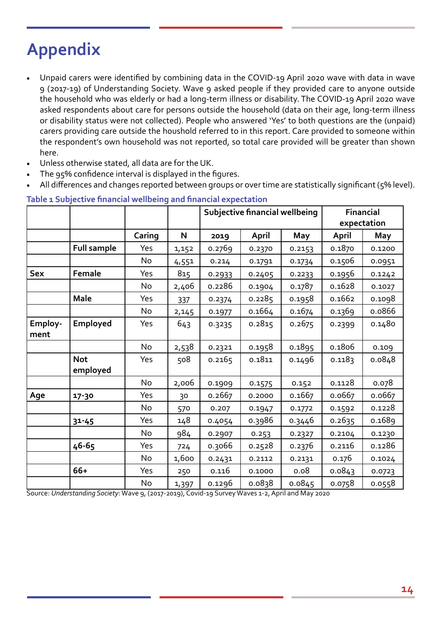## **Appendix**

- Unpaid carers were identified by combining data in the COVID-19 April 2020 wave with data in wave 9 (2017-19) of Understanding Society. Wave 9 asked people if they provided care to anyone outside the household who was elderly or had a long-term illness or disability. The COVID-19 April 2020 wave asked respondents about care for persons outside the household (data on their age, long-term illness or disability status were not collected). People who answered 'Yes' to both questions are the (unpaid) carers providing care outside the houshold referred to in this report. Care provided to someone within the respondent's own household was not reported, so total care provided will be greater than shown here.
- Unless otherwise stated, all data are for the UK.
- The 95% confidence interval is displayed in the figures.
- All differences and changes reported between groups or over time are statistically significant (5% level).

|                 |                        |           |       | <b>Subjective financial wellbeing</b> |              |        | Financial<br>expectation |        |
|-----------------|------------------------|-----------|-------|---------------------------------------|--------------|--------|--------------------------|--------|
|                 |                        | Caring    | N     | 2019                                  | <b>April</b> | May    | April                    | May    |
|                 | <b>Full sample</b>     | Yes       | 1,152 | 0.2769                                | 0.2370       | 0.2153 | 0.1870                   | 0.1200 |
|                 |                        | <b>No</b> | 4,551 | 0.214                                 | 0.1791       | 0.1734 | 0.1506                   | 0.0951 |
| <b>Sex</b>      | Female                 | Yes       | 815   | 0.2933                                | 0.2405       | 0.2233 | 0.1956                   | 0.1242 |
|                 |                        | No        | 2,406 | 0.2286                                | 0.1904       | 0.1787 | 0.1628                   | 0.1027 |
|                 | <b>Male</b>            | Yes       | 337   | 0.2374                                | 0.2285       | 0.1958 | 0.1662                   | 0.1098 |
|                 |                        | No        | 2,145 | 0.1977                                | 0.1664       | 0.1674 | 0.1369                   | 0.0866 |
| Employ-<br>ment | Employed               | Yes       | 643   | 0.3235                                | 0.2815       | 0.2675 | 0.2399                   | 0.1480 |
|                 |                        | No        | 2,538 | 0.2321                                | 0.1958       | 0.1895 | 0.1806                   | 0.109  |
|                 | <b>Not</b><br>employed | Yes       | 508   | 0.2165                                | 0.1811       | 0.1496 | 0.1183                   | 0.0848 |
|                 |                        | <b>No</b> | 2,006 | 0.1909                                | 0.1575       | 0.152  | 0.1128                   | 0.078  |
| Age             | 17-30                  | Yes       | 30    | 0.2667                                | 0.2000       | 0.1667 | 0.0667                   | 0.0667 |
|                 |                        | No        | 570   | 0.207                                 | 0.1947       | 0.1772 | 0.1592                   | 0.1228 |
|                 | $31 - 45$              | Yes       | 148   | 0.4054                                | 0.3986       | 0.3446 | 0.2635                   | 0.1689 |
|                 |                        | No        | 984   | 0.2907                                | 0.253        | 0.2327 | 0.2104                   | 0.1230 |
|                 | 46-65                  | Yes       | 724   | 0.3066                                | 0.2528       | 0.2376 | 0.2116                   | 0.1286 |
|                 |                        | No        | 1,600 | 0.2431                                | 0.2112       | 0.2131 | 0.176                    | 0.1024 |
|                 | 66+                    | Yes       | 250   | 0.116                                 | 0.1000       | 0.08   | 0.0843                   | 0.0723 |
|                 |                        | No        | 1,397 | 0.1296                                | 0.0838       | 0.0845 | 0.0758                   | 0.0558 |

#### **Table 1 Subjective financial wellbeing and financial expectation**

Source: *Understanding Society*: Wave 9, (2017-2019), Covid-19 Survey Waves 1-2, April and May 2020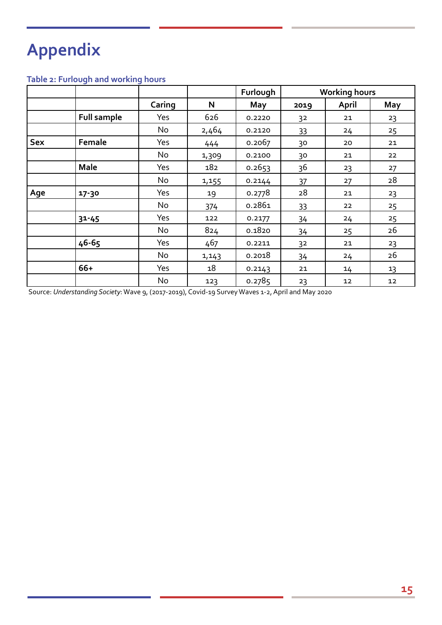## **Appendix**

## **Table 2: Furlough and working hours**

|            |                    |        |        | Furlough | <b>Working hours</b> |        |     |
|------------|--------------------|--------|--------|----------|----------------------|--------|-----|
|            |                    | Caring | N      | May      | 2019                 | April  | May |
|            | <b>Full sample</b> | Yes    | 626    | 0.2220   | 32                   | 21     | 23  |
|            |                    | No     | 2,464  | 0.2120   | 33                   | 24     | 25  |
| <b>Sex</b> | Female             | Yes    | 444    | 0.2067   | 30                   | 20     | 21  |
|            |                    | No     | 1,309  | 0.2100   | 30                   | 21     | 22  |
|            | <b>Male</b>        | Yes    | 182    | 0.2653   | 36                   | 23     | 27  |
|            |                    | No     | 1,155  | 0.2144   | 37                   | 27     | 28  |
| Age        | 17-30              | Yes    | 19     | 0.2778   | 28                   | 21     | 23  |
|            |                    | No     | 374    | 0.2861   | 33                   | 22     | 25  |
|            | $31 - 45$          | Yes    | 122    | 0.2177   | 34                   | 24     | 25  |
|            |                    | No     | 824    | 0.1820   | 34                   | 25     | 26  |
|            | 46-65              | Yes    | 467    | 0.2211   | 32                   | 21     | 23  |
|            |                    | No     | 1, 143 | 0.2018   | 34                   | 24     | 26  |
|            | 66+                | Yes    | 18     | 0.2143   | 21                   | 14     | 13  |
|            |                    | No     | 123    | 0.2785   | 23                   | $12\,$ | 12  |

Source: *Understanding Society*: Wave 9, (2017-2019), Covid-19 Survey Waves 1-2, April and May 2020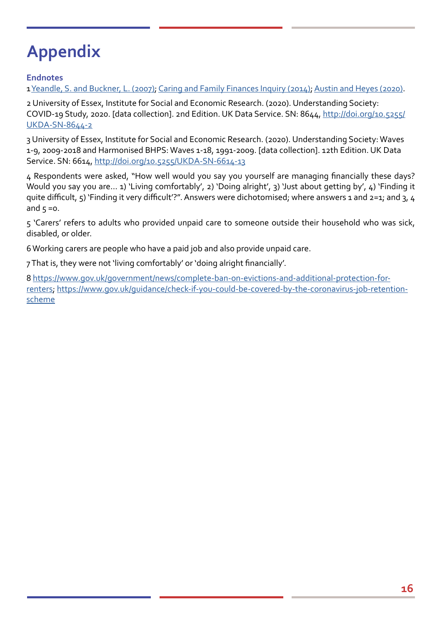## **Appendix**

### **Endnotes**

1 [Yeandle, S. and Buckner, L. \(2007\)](http://circle.group.shef.ac.uk/wp-content/uploads/2018/04/CES-6-EWS4031Time-for-a-new-social-contract.pdf); [Caring and Family Finances Inquiry \(2014\)](https://www.carersuk.org/for-professionals/policy/policy-library/caring-family-finances-inquiry); [Austin and Heyes \(2020\)](http://circle.group.shef.ac.uk/wp-content/uploads/2020/06/8008-Supporting-working-carers_WEB-1.pdf).

2 University of Essex, Institute for Social and Economic Research. (2020). Understanding Society: COVID-19 Study, 2020. [data collection]. 2nd Edition. UK Data Service. SN: 8644, http://doi.org/10.5255/ UKDA-SN-8644-2

3 University of Essex, Institute for Social and Economic Research. (2020). Understanding Society: Waves 1-9, 2009-2018 and Harmonised BHPS: Waves 1-18, 1991-2009. [data collection]. 12th Edition. UK Data Service. SN: 6614,<http://doi.org/10.5255/UKDA-SN-6614-13>

4 Respondents were asked, "How well would you say you yourself are managing financially these days? Would you say you are… 1) 'Living comfortably', 2) 'Doing alright', 3) 'Just about getting by', 4) 'Finding it quite difficult, 5) 'Finding it very difficult'?". Answers were dichotomised; where answers 1 and 2=1; and 3, 4 and  $5 = 0$ .

5 'Carers' refers to adults who provided unpaid care to someone outside their household who was sick, disabled, or older.

6 Working carers are people who have a paid job and also provide unpaid care.

7 That is, they were not 'living comfortably' or 'doing alright financially'.

8 [https://www.gov.uk/government/news/complete-ban-on-evictions-and-additional-protection-for](https://www.gov.uk/government/news/complete-ban-on-evictions-and-additional-protection-for-renters)[renters](https://www.gov.uk/government/news/complete-ban-on-evictions-and-additional-protection-for-renters); [https://www.gov.uk/guidance/check-if-you-could-be-covered-by-the-coronavirus-job-retention](https://www.gov.uk/guidance/check-if-you-could-be-covered-by-the-coronavirus-job-retention-scheme)[scheme](https://www.gov.uk/guidance/check-if-you-could-be-covered-by-the-coronavirus-job-retention-scheme)